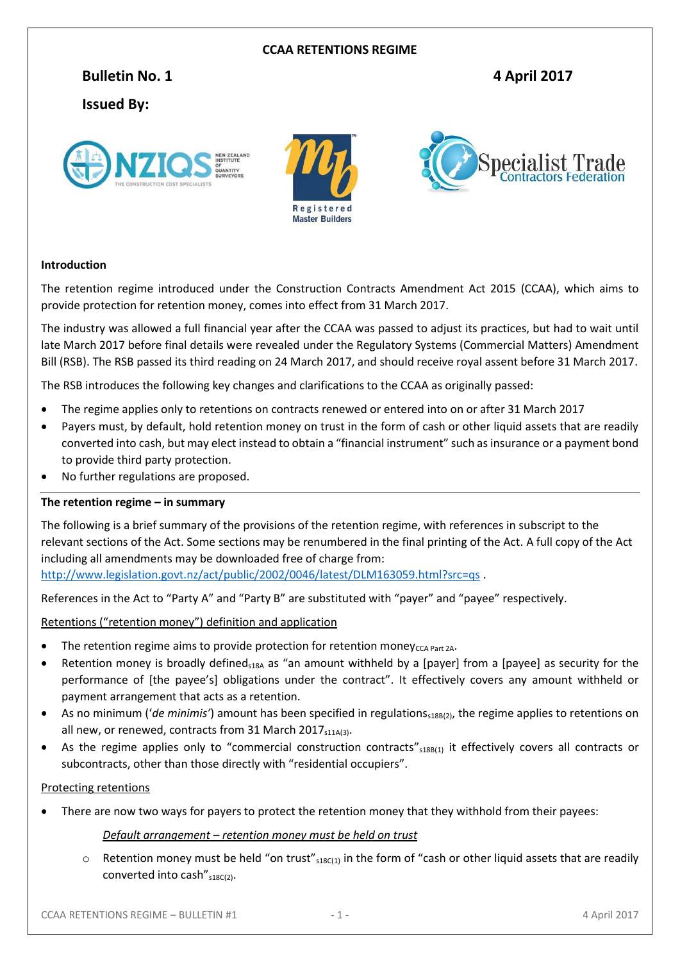#### **CCAA RETENTIONS REGIME**

# **Bulletin No. 1 4 April 2017**

**Issued By:**







#### **Introduction**

The retention regime introduced under the Construction Contracts Amendment Act 2015 (CCAA), which aims to provide protection for retention money, comes into effect from 31 March 2017.

The industry was allowed a full financial year after the CCAA was passed to adjust its practices, but had to wait until late March 2017 before final details were revealed under the Regulatory Systems (Commercial Matters) Amendment Bill (RSB). The RSB passed its third reading on 24 March 2017, and should receive royal assent before 31 March 2017.

The RSB introduces the following key changes and clarifications to the CCAA as originally passed:

- The regime applies only to retentions on contracts renewed or entered into on or after 31 March 2017
- Payers must, by default, hold retention money on trust in the form of cash or other liquid assets that are readily converted into cash, but may elect instead to obtain a "financial instrument" such as insurance or a payment bond to provide third party protection.
- No further regulations are proposed.

#### **The retention regime – in summary**

The following is a brief summary of the provisions of the retention regime, with references in subscript to the relevant sections of the Act. Some sections may be renumbered in the final printing of the Act. A full copy of the Act including all amendments may be downloaded free of charge from:

<http://www.legislation.govt.nz/act/public/2002/0046/latest/DLM163059.html?src=qs> .

References in the Act to "Party A" and "Party B" are substituted with "payer" and "payee" respectively.

Retentions ("retention money") definition and application

- The retention regime aims to provide protection for retention money<sub>CCA Part 2A</sub>.
- Retention money is broadly defined<sub>518A</sub> as "an amount withheld by a [payer] from a [payee] as security for the performance of [the payee's] obligations under the contract". It effectively covers any amount withheld or payment arrangement that acts as a retention.
- As no minimum ('*de minimis'*) amount has been specified in regulations<sub>s18B(2)</sub>, the regime applies to retentions on all new, or renewed, contracts from 31 March 2017 $_{511A(3)}$ .
- As the regime applies only to "commercial construction contracts" <sub>s18B(1)</sub> it effectively covers all contracts or subcontracts, other than those directly with "residential occupiers".

#### Protecting retentions

There are now two ways for payers to protect the retention money that they withhold from their payees:

#### *Default arrangement – retention money must be held on trust*

 $\circ$  Retention money must be held "on trust"  $_{s18C(1)}$  in the form of "cash or other liquid assets that are readily converted into cash" $_{518C(2)}$ .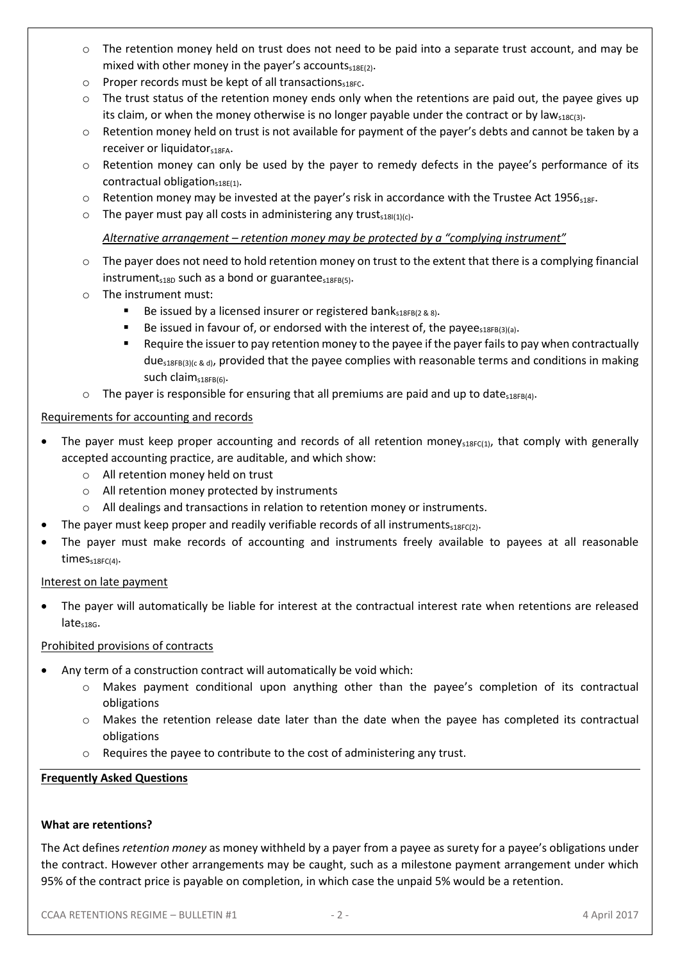- o The retention money held on trust does not need to be paid into a separate trust account, and may be mixed with other money in the payer's accounts $_{518E(2)}$ .
- o Proper records must be kept of all transactions $s_{\text{S18FC}}$ .
- $\circ$  The trust status of the retention money ends only when the retentions are paid out, the payee gives up its claim, or when the money otherwise is no longer payable under the contract or by law $_{518C(3)}$ .
- $\circ$  Retention money held on trust is not available for payment of the payer's debts and cannot be taken by a receiver or liquidator<sub>s18FA</sub>.
- o Retention money can only be used by the payer to remedy defects in the payee's performance of its contractual obligation $s_1$ <sub>8E(1)</sub>.
- $\circ$  Retention money may be invested at the payer's risk in accordance with the Trustee Act 1956<sub>518F</sub>.
- $\circ$  The payer must pay all costs in administering any trust<sub>s18|(1)(c)</sub>.

# *Alternative arrangement – retention money may be protected by a "complying instrument"*

- $\circ$  The payer does not need to hold retention money on trust to the extent that there is a complying financial instrument<sub>s18D</sub> such as a bond or guarantee<sub>s18FB(5)</sub>.
- o The instrument must:
	- Be issued by a licensed insurer or registered bank $_{518FB(2\&8)}$ .
	- Be issued in favour of, or endorsed with the interest of, the payee<sub>s18FB(3)(a)</sub>.
	- Require the issuer to pay retention money to the payee if the payer fails to pay when contractually  $due<sub>518FB(3)(c & d)}</sub>$ , provided that the payee complies with reasonable terms and conditions in making such claim $_{s18FB(6)}$ .
- $\circ$  The payer is responsible for ensuring that all premiums are paid and up to date<sub>s18FB(4)</sub>.

#### Requirements for accounting and records

- The payer must keep proper accounting and records of all retention moneys18FC(1), that comply with generally accepted accounting practice, are auditable, and which show:
	- o All retention money held on trust
	- o All retention money protected by instruments
	- o All dealings and transactions in relation to retention money or instruments.
- The payer must keep proper and readily verifiable records of all instruments $_{518FC(2)}$ .
- The payer must make records of accounting and instruments freely available to payees at all reasonable  $times_{s18FC(4)}$ .

#### Interest on late payment

 The payer will automatically be liable for interest at the contractual interest rate when retentions are released late<sub>s18G</sub>.

#### Prohibited provisions of contracts

- Any term of a construction contract will automatically be void which:
	- $\circ$  Makes payment conditional upon anything other than the payee's completion of its contractual obligations
	- o Makes the retention release date later than the date when the payee has completed its contractual obligations
	- o Requires the payee to contribute to the cost of administering any trust.

#### **Frequently Asked Questions**

#### **What are retentions?**

The Act defines *retention money* as money withheld by a payer from a payee as surety for a payee's obligations under the contract. However other arrangements may be caught, such as a milestone payment arrangement under which 95% of the contract price is payable on completion, in which case the unpaid 5% would be a retention.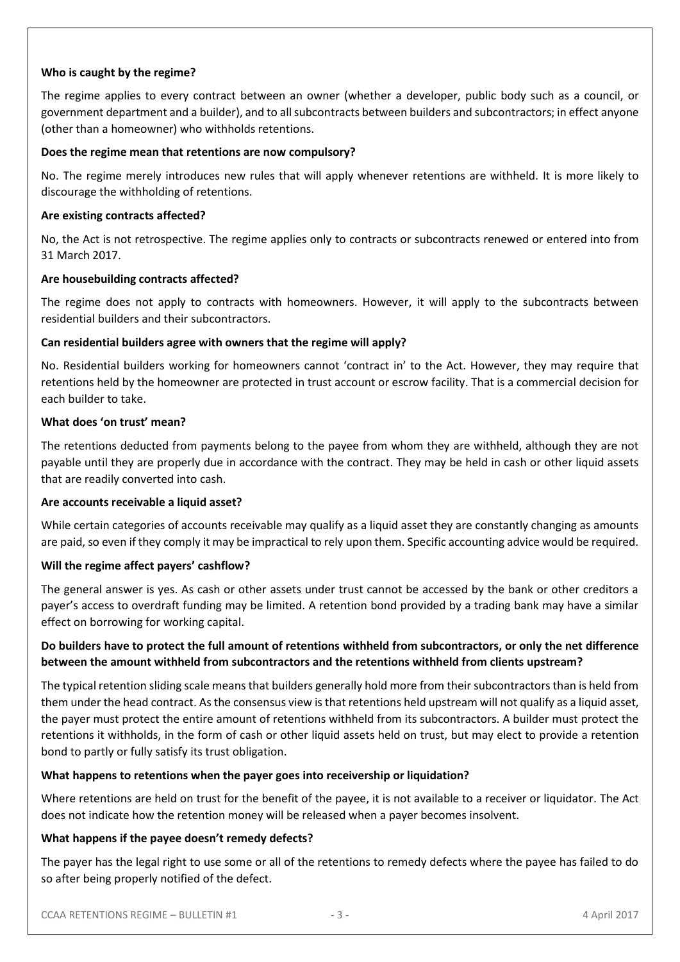#### **Who is caught by the regime?**

The regime applies to every contract between an owner (whether a developer, public body such as a council, or government department and a builder), and to all subcontracts between builders and subcontractors; in effect anyone (other than a homeowner) who withholds retentions.

#### **Does the regime mean that retentions are now compulsory?**

No. The regime merely introduces new rules that will apply whenever retentions are withheld. It is more likely to discourage the withholding of retentions.

#### **Are existing contracts affected?**

No, the Act is not retrospective. The regime applies only to contracts or subcontracts renewed or entered into from 31 March 2017.

## **Are housebuilding contracts affected?**

The regime does not apply to contracts with homeowners. However, it will apply to the subcontracts between residential builders and their subcontractors.

## **Can residential builders agree with owners that the regime will apply?**

No. Residential builders working for homeowners cannot 'contract in' to the Act. However, they may require that retentions held by the homeowner are protected in trust account or escrow facility. That is a commercial decision for each builder to take.

## **What does 'on trust' mean?**

The retentions deducted from payments belong to the payee from whom they are withheld, although they are not payable until they are properly due in accordance with the contract. They may be held in cash or other liquid assets that are readily converted into cash.

#### **Are accounts receivable a liquid asset?**

While certain categories of accounts receivable may qualify as a liquid asset they are constantly changing as amounts are paid, so even if they comply it may be impractical to rely upon them. Specific accounting advice would be required.

#### **Will the regime affect payers' cashflow?**

The general answer is yes. As cash or other assets under trust cannot be accessed by the bank or other creditors a payer's access to overdraft funding may be limited. A retention bond provided by a trading bank may have a similar effect on borrowing for working capital.

# **Do builders have to protect the full amount of retentions withheld from subcontractors, or only the net difference between the amount withheld from subcontractors and the retentions withheld from clients upstream?**

The typical retention sliding scale means that builders generally hold more from their subcontractors than is held from them under the head contract. As the consensus view is that retentions held upstream will not qualify as a liquid asset, the payer must protect the entire amount of retentions withheld from its subcontractors. A builder must protect the retentions it withholds, in the form of cash or other liquid assets held on trust, but may elect to provide a retention bond to partly or fully satisfy its trust obligation.

# **What happens to retentions when the payer goes into receivership or liquidation?**

Where retentions are held on trust for the benefit of the payee, it is not available to a receiver or liquidator. The Act does not indicate how the retention money will be released when a payer becomes insolvent.

#### **What happens if the payee doesn't remedy defects?**

The payer has the legal right to use some or all of the retentions to remedy defects where the payee has failed to do so after being properly notified of the defect.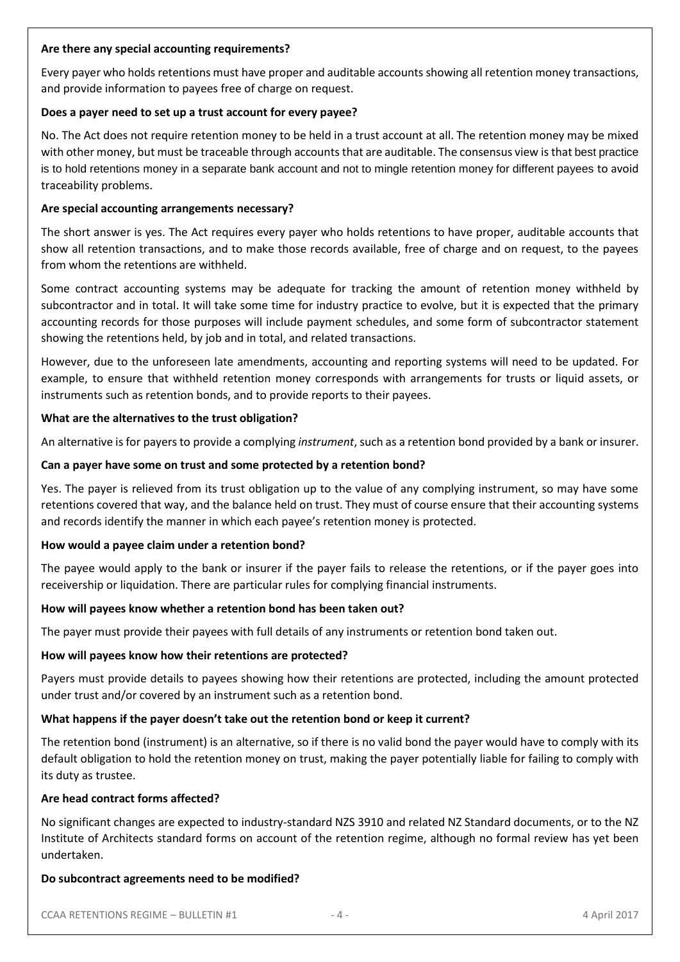#### **Are there any special accounting requirements?**

Every payer who holds retentions must have proper and auditable accounts showing all retention money transactions, and provide information to payees free of charge on request.

## **Does a payer need to set up a trust account for every payee?**

No. The Act does not require retention money to be held in a trust account at all. The retention money may be mixed with other money, but must be traceable through accounts that are auditable. The consensus view is that best practice is to hold retentions money in a separate bank account and not to mingle retention money for different payees to avoid traceability problems.

#### **Are special accounting arrangements necessary?**

The short answer is yes. The Act requires every payer who holds retentions to have proper, auditable accounts that show all retention transactions, and to make those records available, free of charge and on request, to the payees from whom the retentions are withheld.

Some contract accounting systems may be adequate for tracking the amount of retention money withheld by subcontractor and in total. It will take some time for industry practice to evolve, but it is expected that the primary accounting records for those purposes will include payment schedules, and some form of subcontractor statement showing the retentions held, by job and in total, and related transactions.

However, due to the unforeseen late amendments, accounting and reporting systems will need to be updated. For example, to ensure that withheld retention money corresponds with arrangements for trusts or liquid assets, or instruments such as retention bonds, and to provide reports to their payees.

## **What are the alternatives to the trust obligation?**

An alternative is for payers to provide a complying *instrument*, such as a retention bond provided by a bank or insurer.

## **Can a payer have some on trust and some protected by a retention bond?**

Yes. The payer is relieved from its trust obligation up to the value of any complying instrument, so may have some retentions covered that way, and the balance held on trust. They must of course ensure that their accounting systems and records identify the manner in which each payee's retention money is protected.

#### **How would a payee claim under a retention bond?**

The payee would apply to the bank or insurer if the payer fails to release the retentions, or if the payer goes into receivership or liquidation. There are particular rules for complying financial instruments.

#### **How will payees know whether a retention bond has been taken out?**

The payer must provide their payees with full details of any instruments or retention bond taken out.

#### **How will payees know how their retentions are protected?**

Payers must provide details to payees showing how their retentions are protected, including the amount protected under trust and/or covered by an instrument such as a retention bond.

#### **What happens if the payer doesn't take out the retention bond or keep it current?**

The retention bond (instrument) is an alternative, so if there is no valid bond the payer would have to comply with its default obligation to hold the retention money on trust, making the payer potentially liable for failing to comply with its duty as trustee.

#### **Are head contract forms affected?**

No significant changes are expected to industry-standard NZS 3910 and related NZ Standard documents, or to the NZ Institute of Architects standard forms on account of the retention regime, although no formal review has yet been undertaken.

#### **Do subcontract agreements need to be modified?**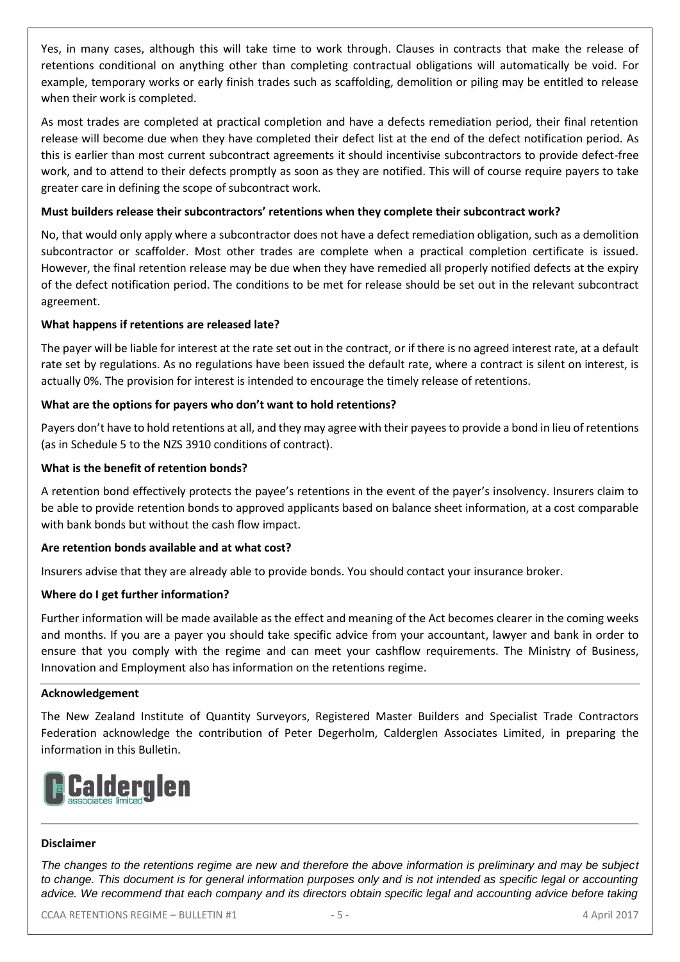Yes, in many cases, although this will take time to work through. Clauses in contracts that make the release of retentions conditional on anything other than completing contractual obligations will automatically be void. For example, temporary works or early finish trades such as scaffolding, demolition or piling may be entitled to release when their work is completed.

As most trades are completed at practical completion and have a defects remediation period, their final retention release will become due when they have completed their defect list at the end of the defect notification period. As this is earlier than most current subcontract agreements it should incentivise subcontractors to provide defect-free work, and to attend to their defects promptly as soon as they are notified. This will of course require payers to take greater care in defining the scope of subcontract work.

# **Must builders release their subcontractors' retentions when they complete their subcontract work?**

No, that would only apply where a subcontractor does not have a defect remediation obligation, such as a demolition subcontractor or scaffolder. Most other trades are complete when a practical completion certificate is issued. However, the final retention release may be due when they have remedied all properly notified defects at the expiry of the defect notification period. The conditions to be met for release should be set out in the relevant subcontract agreement.

#### **What happens if retentions are released late?**

The payer will be liable for interest at the rate set out in the contract, or if there is no agreed interest rate, at a default rate set by regulations. As no regulations have been issued the default rate, where a contract is silent on interest, is actually 0%. The provision for interest is intended to encourage the timely release of retentions.

## **What are the options for payers who don't want to hold retentions?**

Payers don't have to hold retentions at all, and they may agree with their payees to provide a bond in lieu of retentions (as in Schedule 5 to the NZS 3910 conditions of contract).

## **What is the benefit of retention bonds?**

A retention bond effectively protects the payee's retentions in the event of the payer's insolvency. Insurers claim to be able to provide retention bonds to approved applicants based on balance sheet information, at a cost comparable with bank bonds but without the cash flow impact.

#### **Are retention bonds available and at what cost?**

Insurers advise that they are already able to provide bonds. You should contact your insurance broker.

#### **Where do I get further information?**

Further information will be made available as the effect and meaning of the Act becomes clearer in the coming weeks and months. If you are a payer you should take specific advice from your accountant, lawyer and bank in order to ensure that you comply with the regime and can meet your cashflow requirements. The Ministry of Business, Innovation and Employment also has information on the retentions regime.

#### **Acknowledgement**

The New Zealand Institute of Quantity Surveyors, Registered Master Builders and Specialist Trade Contractors Federation acknowledge the contribution of Peter Degerholm, Calderglen Associates Limited, in preparing the information in this Bulletin.



#### **Disclaimer**

*The changes to the retentions regime are new and therefore the above information is preliminary and may be subject to change. This document is for general information purposes only and is not intended as specific legal or accounting advice. We recommend that each company and its directors obtain specific legal and accounting advice before taking*